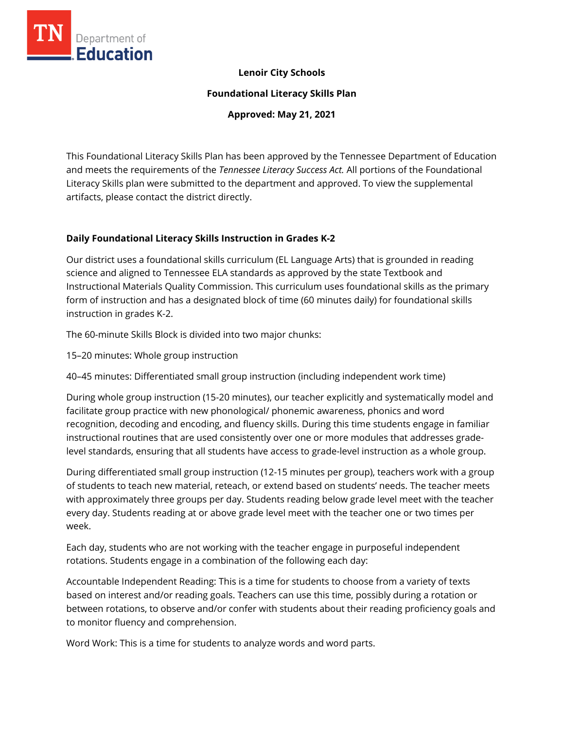

### **Lenoir City Schools**

**Foundational Literacy Skills Plan**

**Approved: May 21, 2021**

This Foundational Literacy Skills Plan has been approved by the Tennessee Department of Education and meets the requirements of the *Tennessee Literacy Success Act.* All portions of the Foundational Literacy Skills plan were submitted to the department and approved. To view the supplemental artifacts, please contact the district directly.

### **Daily Foundational Literacy Skills Instruction in Grades K-2**

Our district uses a foundational skills curriculum (EL Language Arts) that is grounded in reading science and aligned to Tennessee ELA standards as approved by the state Textbook and Instructional Materials Quality Commission. This curriculum uses foundational skills as the primary form of instruction and has a designated block of time (60 minutes daily) for foundational skills instruction in grades K-2.

The 60-minute Skills Block is divided into two major chunks:

15–20 minutes: Whole group instruction

40–45 minutes: Differentiated small group instruction (including independent work time)

During whole group instruction (15-20 minutes), our teacher explicitly and systematically model and facilitate group practice with new phonological/ phonemic awareness, phonics and word recognition, decoding and encoding, and fluency skills. During this time students engage in familiar instructional routines that are used consistently over one or more modules that addresses gradelevel standards, ensuring that all students have access to grade-level instruction as a whole group.

During differentiated small group instruction (12-15 minutes per group), teachers work with a group of students to teach new material, reteach, or extend based on students' needs. The teacher meets with approximately three groups per day. Students reading below grade level meet with the teacher every day. Students reading at or above grade level meet with the teacher one or two times per week.

Each day, students who are not working with the teacher engage in purposeful independent rotations. Students engage in a combination of the following each day:

Accountable Independent Reading: This is a time for students to choose from a variety of texts based on interest and/or reading goals. Teachers can use this time, possibly during a rotation or between rotations, to observe and/or confer with students about their reading proficiency goals and to monitor fluency and comprehension.

Word Work: This is a time for students to analyze words and word parts.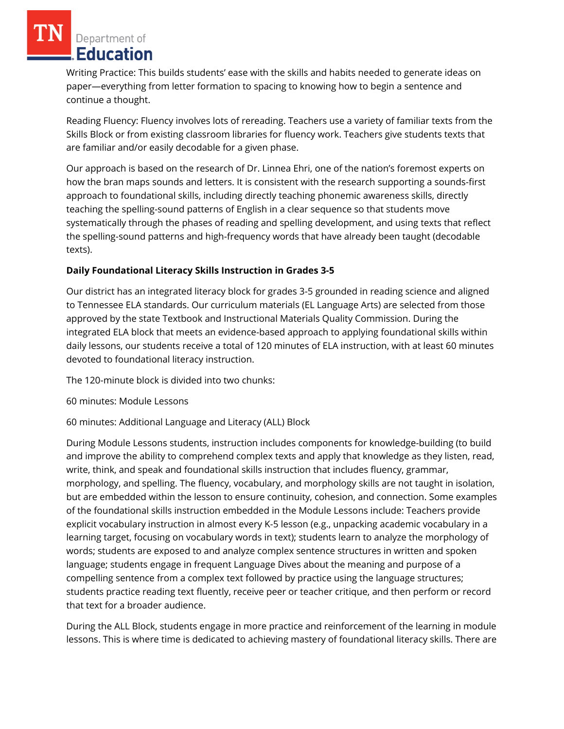Writing Practice: This builds students' ease with the skills and habits needed to generate ideas on paper—everything from letter formation to spacing to knowing how to begin a sentence and continue a thought.

Reading Fluency: Fluency involves lots of rereading. Teachers use a variety of familiar texts from the Skills Block or from existing classroom libraries for fluency work. Teachers give students texts that are familiar and/or easily decodable for a given phase.

Our approach is based on the research of Dr. Linnea Ehri, one of the nation's foremost experts on how the bran maps sounds and letters. It is consistent with the research supporting a sounds-first approach to foundational skills, including directly teaching phonemic awareness skills, directly teaching the spelling-sound patterns of English in a clear sequence so that students move systematically through the phases of reading and spelling development, and using texts that reflect the spelling-sound patterns and high-frequency words that have already been taught (decodable texts).

## **Daily Foundational Literacy Skills Instruction in Grades 3-5**

Our district has an integrated literacy block for grades 3-5 grounded in reading science and aligned to Tennessee ELA standards. Our curriculum materials (EL Language Arts) are selected from those approved by the state Textbook and Instructional Materials Quality Commission. During the integrated ELA block that meets an evidence-based approach to applying foundational skills within daily lessons, our students receive a total of 120 minutes of ELA instruction, with at least 60 minutes devoted to foundational literacy instruction.

The 120-minute block is divided into two chunks:

60 minutes: Module Lessons

60 minutes: Additional Language and Literacy (ALL) Block

During Module Lessons students, instruction includes components for knowledge-building (to build and improve the ability to comprehend complex texts and apply that knowledge as they listen, read, write, think, and speak and foundational skills instruction that includes fluency, grammar, morphology, and spelling. The fluency, vocabulary, and morphology skills are not taught in isolation, but are embedded within the lesson to ensure continuity, cohesion, and connection. Some examples of the foundational skills instruction embedded in the Module Lessons include: Teachers provide explicit vocabulary instruction in almost every K-5 lesson (e.g., unpacking academic vocabulary in a learning target, focusing on vocabulary words in text); students learn to analyze the morphology of words; students are exposed to and analyze complex sentence structures in written and spoken language; students engage in frequent Language Dives about the meaning and purpose of a compelling sentence from a complex text followed by practice using the language structures; students practice reading text fluently, receive peer or teacher critique, and then perform or record that text for a broader audience.

During the ALL Block, students engage in more practice and reinforcement of the learning in module lessons. This is where time is dedicated to achieving mastery of foundational literacy skills. There are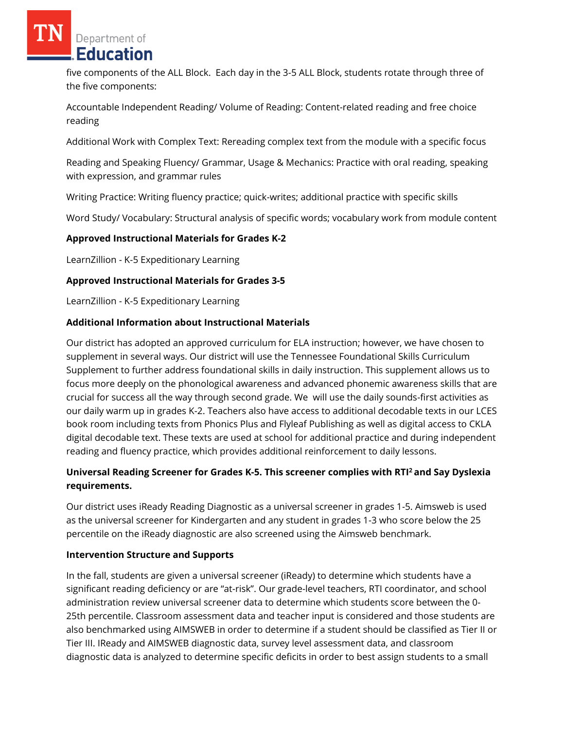five components of the ALL Block. Each day in the 3-5 ALL Block, students rotate through three of the five components:

Accountable Independent Reading/ Volume of Reading: Content-related reading and free choice reading

Additional Work with Complex Text: Rereading complex text from the module with a specific focus

Reading and Speaking Fluency/ Grammar, Usage & Mechanics: Practice with oral reading, speaking with expression, and grammar rules

Writing Practice: Writing fluency practice; quick-writes; additional practice with specific skills

Word Study/ Vocabulary: Structural analysis of specific words; vocabulary work from module content

### **Approved Instructional Materials for Grades K-2**

LearnZillion - K-5 Expeditionary Learning

### **Approved Instructional Materials for Grades 3-5**

LearnZillion - K-5 Expeditionary Learning

### **Additional Information about Instructional Materials**

Our district has adopted an approved curriculum for ELA instruction; however, we have chosen to supplement in several ways. Our district will use the Tennessee Foundational Skills Curriculum Supplement to further address foundational skills in daily instruction. This supplement allows us to focus more deeply on the phonological awareness and advanced phonemic awareness skills that are crucial for success all the way through second grade. We will use the daily sounds-first activities as our daily warm up in grades K-2. Teachers also have access to additional decodable texts in our LCES book room including texts from Phonics Plus and Flyleaf Publishing as well as digital access to CKLA digital decodable text. These texts are used at school for additional practice and during independent reading and fluency practice, which provides additional reinforcement to daily lessons.

# **Universal Reading Screener for Grades K-5. This screener complies with RTI<sup>2</sup>and Say Dyslexia requirements.**

Our district uses iReady Reading Diagnostic as a universal screener in grades 1-5. Aimsweb is used as the universal screener for Kindergarten and any student in grades 1-3 who score below the 25 percentile on the iReady diagnostic are also screened using the Aimsweb benchmark.

### **Intervention Structure and Supports**

In the fall, students are given a universal screener (iReady) to determine which students have a significant reading deficiency or are "at-risk". Our grade-level teachers, RTI coordinator, and school administration review universal screener data to determine which students score between the 0- 25th percentile. Classroom assessment data and teacher input is considered and those students are also benchmarked using AIMSWEB in order to determine if a student should be classified as Tier II or Tier III. IReady and AIMSWEB diagnostic data, survey level assessment data, and classroom diagnostic data is analyzed to determine specific deficits in order to best assign students to a small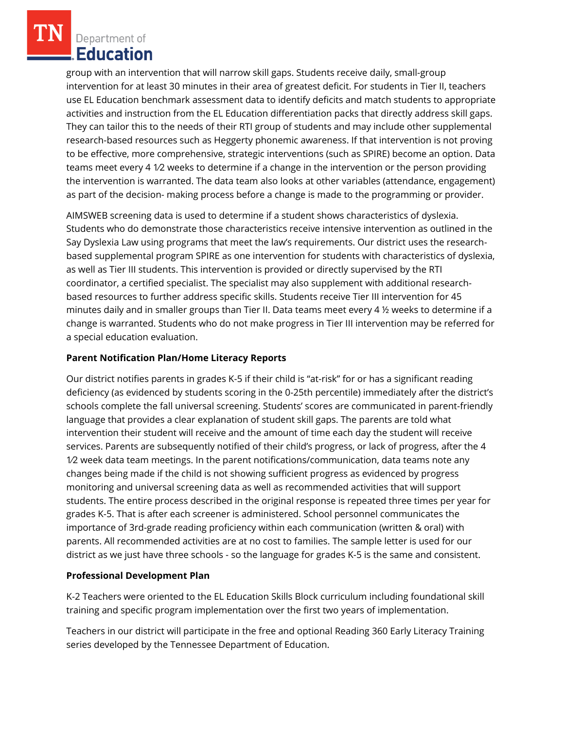group with an intervention that will narrow skill gaps. Students receive daily, small-group intervention for at least 30 minutes in their area of greatest deficit. For students in Tier II, teachers use EL Education benchmark assessment data to identify deficits and match students to appropriate activities and instruction from the EL Education differentiation packs that directly address skill gaps. They can tailor this to the needs of their RTI group of students and may include other supplemental research-based resources such as Heggerty phonemic awareness. If that intervention is not proving to be effective, more comprehensive, strategic interventions (such as SPIRE) become an option. Data teams meet every 4 1⁄2 weeks to determine if a change in the intervention or the person providing the intervention is warranted. The data team also looks at other variables (attendance, engagement) as part of the decision- making process before a change is made to the programming or provider.

AIMSWEB screening data is used to determine if a student shows characteristics of dyslexia. Students who do demonstrate those characteristics receive intensive intervention as outlined in the Say Dyslexia Law using programs that meet the law's requirements. Our district uses the researchbased supplemental program SPIRE as one intervention for students with characteristics of dyslexia, as well as Tier III students. This intervention is provided or directly supervised by the RTI coordinator, a certified specialist. The specialist may also supplement with additional researchbased resources to further address specific skills. Students receive Tier III intervention for 45 minutes daily and in smaller groups than Tier II. Data teams meet every 4 ½ weeks to determine if a change is warranted. Students who do not make progress in Tier III intervention may be referred for a special education evaluation.

### **Parent Notification Plan/Home Literacy Reports**

Our district notifies parents in grades K-5 if their child is "at-risk" for or has a significant reading deficiency (as evidenced by students scoring in the 0-25th percentile) immediately after the district's schools complete the fall universal screening. Students' scores are communicated in parent-friendly language that provides a clear explanation of student skill gaps. The parents are told what intervention their student will receive and the amount of time each day the student will receive services. Parents are subsequently notified of their child's progress, or lack of progress, after the 4 1⁄2 week data team meetings. In the parent notifications/communication, data teams note any changes being made if the child is not showing sufficient progress as evidenced by progress monitoring and universal screening data as well as recommended activities that will support students. The entire process described in the original response is repeated three times per year for grades K-5. That is after each screener is administered. School personnel communicates the importance of 3rd-grade reading proficiency within each communication (written & oral) with parents. All recommended activities are at no cost to families. The sample letter is used for our district as we just have three schools - so the language for grades K-5 is the same and consistent.

### **Professional Development Plan**

K-2 Teachers were oriented to the EL Education Skills Block curriculum including foundational skill training and specific program implementation over the first two years of implementation.

Teachers in our district will participate in the free and optional Reading 360 Early Literacy Training series developed by the Tennessee Department of Education.